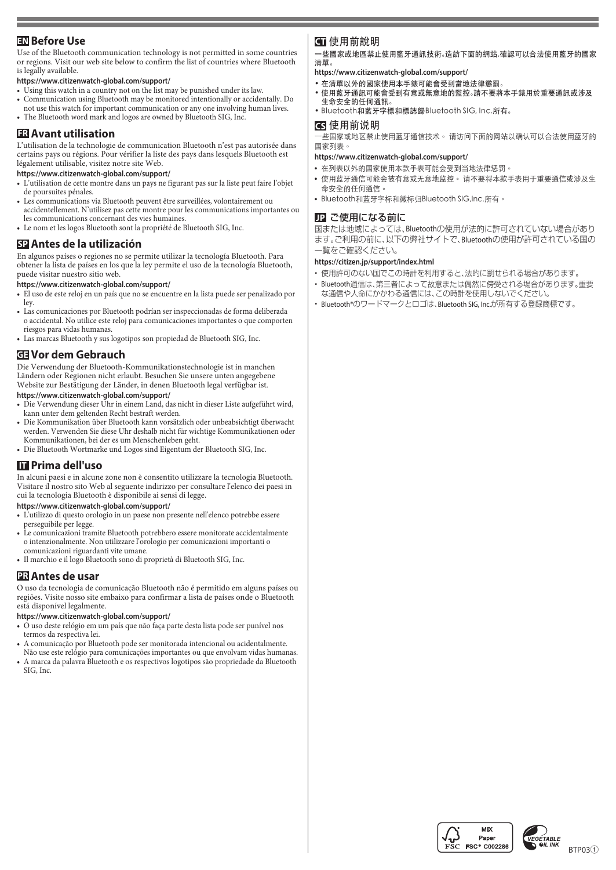# **EN** Before Use

Use of the Bluetooth communication technology is not permitted in some countries Blueton when when we confirm the list of countries where Bluetooth or regions. Visit our web site below to confirm the list of countries where Bluetooth is legally available.

### https://www.citizenwatch-global.com/support/

- Using this watch in a country not on the list may be punished under its law.
- Communication using Bluetooth may be monitored intentionally or accidentally. Do not use this watch for important communication or any one involving human lives.
- The Bluetooth word mark and logos are owned by Bluetooth SIG, Inc.

# **ER** Avant utilisation

L'utilisation de la technologie de communication Bluetooth n'est pas autorisée dans certains pays ou régions. Pour vérifier la liste des pays dans lesquels Bluetooth est légalement utilisable, visitez notre site Web.

#### https://www.citizenwatch-global.com/support/

- L'utilisation de cette montre dans un pays ne figurant pas sur la liste peut faire l'obiet de poursuites pénales.
- Les communications via Bluetooth peuvent être surveillées, volontairement ou accidentellement. N'utilisez pas cette montre pour les communications importantes ou les communications concernant des vies humaines.
- Le nom et les logos Bluetooth sont la propriété de Bluetooth SIG, Inc.

# **EP** Antes de la utilización

En algunos países o regiones no se permite utilizar la tecnología Bluetooth. Para<br>obtener la lista de países en los que la ley permite el uso de la tecnología Bluetooth, puede visitar nuestro sitio web.

#### https://www.citizenwatch-global.com/support/

- El uso de este reloj en un país que no se encuentre en la lista puede ser penalizado por ley.
- Las comunicaciones por Bluetooth podrían ser inspeccionadas de forma deliberada o accidental. No utilice este reloj para comunicaciones importantes o que comporten riesgos para vidas humanas.
- Las marcas Bluetooth y sus logotipos son propiedad de Bluetooth SIG, Inc.

# **Gebrauch dem Vor GE**

Die Verwendung der Bluetooth-Kommunikationstechnologie ist in manchen Ländern oder Regionen nicht erlaubt. Besuchen Sie unsere unten angegebene Website zur Bestätigung der Länder, in denen Bluetooth legal verfügbar ist. https://www.citizenwatch-global.com/support/

- $\bullet~$  Die Verwendung dieser Uhr in einem Land, das nicht in dieser Liste aufgeführt wird,
- kann unter dem geltenden Recht bestraft werden. • Die Kommunikation über Bluetooth kann vorsätzlich oder unbeabsichtigt überwacht werden. Verwenden Sie diese Uhr deshalb nicht für wichtige Kommunikationen oder Kommunikationen, bei der es um Menschenleben geht.
- Die Bluetooth Wortmarke und Logos sind Eigentum der Bluetooth SIG, Inc.

## **u** Prima dell'uso

In alcuni paesi e in alcune zone non è consentito utilizzare la tecnologia Bluetooth. Visitare il nostro sito Web al seguente indirizzo per consultare l'elenco dei paesi in cui la tecnologia Bluetooth è disponibile ai sensi di legge.

https://www.citizenwatch-global.com/support/

- e L'utilizzo di questo orologio in un paese non presente nell'elenco potrebbe essere perseguibile per legge.
- Le comunicazioni tramite Bluetooth potrebbero essere monitorate accidentalmente o intenzionalmente. Non utilizzare l'orologio per comunicazioni importanti o comunicazioni riguardanti vite umane.
- Il marchio e il logo Bluetooth sono di proprietà di Bluetooth SIG, Inc.

## **PR** Antes de usar

O uso da tecnologia de comunicação Bluetooth não é permitido em alguns países ou regiões. Visite nosso site embaixo para confirmar a lista de países onde o Bluetooth está disponível legalmente.

#### https://www.citizenwatch-global.com/support/

- O uso deste relógio em um país que não faça parte desta lista pode ser punível nos termos da respectiva lei.
- A comunicação por Bluetooth pode ser monitorada intencional ou acidentalmente.
- Não use este relógio para comunicações importantes ou que envolvam vidas humanas. A marca da palavra Bluetooth e os respectivos logotipos são propriedade da Bluetooth SIG, Inc.

# 使用前說明 **CT**

一些國家或地區禁止使用藍牙通訊技術。造訪下面的網站,確認可以合法使用藍牙的國家 。清單

- https://www.citizenwatch-global.com/support/
- 。在清單以外的國家使用本手錶可能會受到當地法律懲罰•
- ,重形不够的,其实的。<br>● 使用藍牙通訊可能會受到有意或無意地的監控。請不要將本手錶用於重要通訊或涉及 。生命安全的任何通訊
- Bluetooth和藍牙字標和標誌歸Bluetooth SIG, Inc.所有。

### 使用前说明 **CS**

一些国家或地区禁止使用蓝牙通信技术。 请访问下面的网站以确认可以合法使用蓝牙的 。国家列表

#### https://www.citizenwatch-global.com/support/

- 。在列表以外的国家使用本款手表可能会受到当地法律惩罚**•**
- 使用蓝牙通信可能会被有意或无意地监控。 请不要将本款手表用于重要通信或涉及生 。命安全的任何通信
- Bluetooth和蓝牙字标和徽标归Bluetooth SIG,Inc.所有。

### **JP** ご使用になる前に

国または地域によっては、Bluetoothの使用が法的に許可されていない場合があり ます。ご利用の前に、以下の弊社サイトで、Bluetoothの使用が許可されている国の 。一覧をご確認ください

#### https://citizen.jp/support/index.html

- 在用許可のない国でこの時計を利用すると、法的に罰せられる場合があります。
- Bluetooth通信は、第三者によって故意または偶然に傍受される場合があります。重要 な通信や人命にかかわる通信には、この時計を使用しないでください。
- Bluetooth®のワードマークとロゴは、Bluetooth SIG, Inc.が所有する登録商標です。